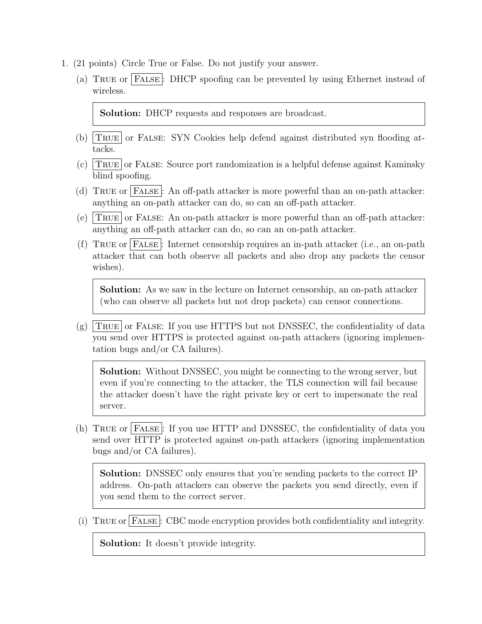- 1. (21 points) Circle True or False. Do not justify your answer.
	- (a) True or False : DHCP spoofing can be prevented by using Ethernet instead of wireless.

Solution: DHCP requests and responses are broadcast.

- (b)  $TRUE$  or FALSE: SYN Cookies help defend against distributed syn flooding attacks.
- (c)  $TRUE$  or FALSE: Source port randomization is a helpful defense against Kaminsky blind spoofing.
- (d) TRUE or FALSE: An off-path attacker is more powerful than an on-path attacker: anything an on-path attacker can do, so can an off-path attacker.
- (e)  $TRUE$  or FALSE: An on-path attacker is more powerful than an off-path attacker: anything an off-path attacker can do, so can an on-path attacker.
- (f) True or False : Internet censorship requires an in-path attacker (i.e., an on-path attacker that can both observe all packets and also drop any packets the censor wishes).

Solution: As we saw in the lecture on Internet censorship, an on-path attacker (who can observe all packets but not drop packets) can censor connections.

 $(g)$  TRUE or FALSE: If you use HTTPS but not DNSSEC, the confidentiality of data you send over HTTPS is protected against on-path attackers (ignoring implementation bugs and/or CA failures).

Solution: Without DNSSEC, you might be connecting to the wrong server, but even if you're connecting to the attacker, the TLS connection will fail because the attacker doesn't have the right private key or cert to impersonate the real server.

(h) True or False : If you use HTTP and DNSSEC, the confidentiality of data you send over HTTP is protected against on-path attackers (ignoring implementation bugs and/or CA failures).

Solution: DNSSEC only ensures that you're sending packets to the correct IP address. On-path attackers can observe the packets you send directly, even if you send them to the correct server.

(i) True or False : CBC mode encryption provides both confidentiality and integrity.

Solution: It doesn't provide integrity.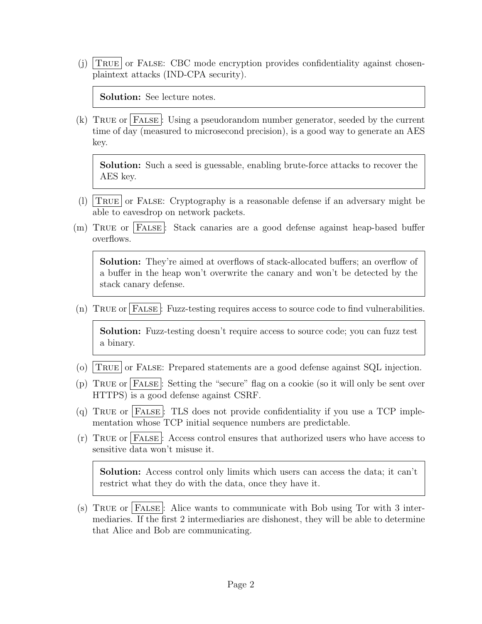(j)  $TRUE$  or FALSE: CBC mode encryption provides confidentiality against chosenplaintext attacks (IND-CPA security).

Solution: See lecture notes.

(k) TRUE or FALSE: Using a pseudorandom number generator, seeded by the current time of day (measured to microsecond precision), is a good way to generate an AES key.

Solution: Such a seed is guessable, enabling brute-force attacks to recover the AES key.

- (1) TRUE or FALSE: Cryptography is a reasonable defense if an adversary might be able to eavesdrop on network packets.
- (m) True or False : Stack canaries are a good defense against heap-based buffer overflows.

Solution: They're aimed at overflows of stack-allocated buffers; an overflow of a buffer in the heap won't overwrite the canary and won't be detected by the stack canary defense.

(n) True or False : Fuzz-testing requires access to source code to find vulnerabilities.

Solution: Fuzz-testing doesn't require access to source code; you can fuzz test a binary.

- (o)  $T_{\text{RUE}}$  or FALSE: Prepared statements are a good defense against SQL injection.
- (p) True or False : Setting the "secure" flag on a cookie (so it will only be sent over HTTPS) is a good defense against CSRF.
- (q) TRUE or FALSE: TLS does not provide confidentiality if you use a TCP implementation whose TCP initial sequence numbers are predictable.
- (r) True or False : Access control ensures that authorized users who have access to sensitive data won't misuse it.

Solution: Access control only limits which users can access the data; it can't restrict what they do with the data, once they have it.

(s) True or False : Alice wants to communicate with Bob using Tor with 3 intermediaries. If the first 2 intermediaries are dishonest, they will be able to determine that Alice and Bob are communicating.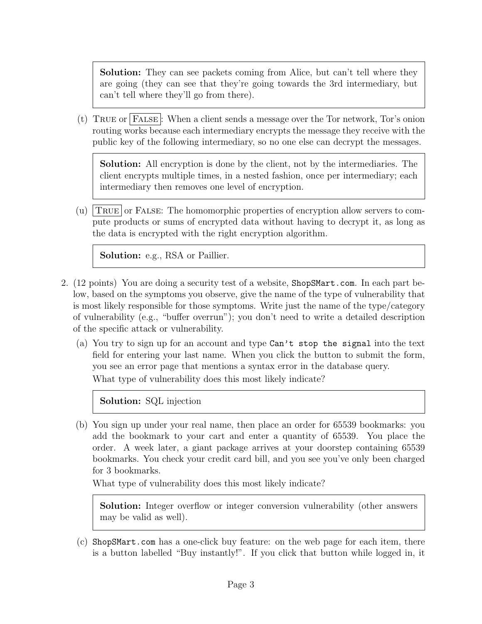Solution: They can see packets coming from Alice, but can't tell where they are going (they can see that they're going towards the 3rd intermediary, but can't tell where they'll go from there).

(t) True or False : When a client sends a message over the Tor network, Tor's onion routing works because each intermediary encrypts the message they receive with the public key of the following intermediary, so no one else can decrypt the messages.

Solution: All encryption is done by the client, not by the intermediaries. The client encrypts multiple times, in a nested fashion, once per intermediary; each intermediary then removes one level of encryption.

(u)  $T_{\text{RUE}}$  or FALSE: The homomorphic properties of encryption allow servers to compute products or sums of encrypted data without having to decrypt it, as long as the data is encrypted with the right encryption algorithm.

Solution: e.g., RSA or Paillier.

- 2. (12 points) You are doing a security test of a website, ShopSMart.com. In each part below, based on the symptoms you observe, give the name of the type of vulnerability that is most likely responsible for those symptoms. Write just the name of the type/category of vulnerability (e.g., "buffer overrun"); you don't need to write a detailed description of the specific attack or vulnerability.
	- (a) You try to sign up for an account and type Can't stop the signal into the text field for entering your last name. When you click the button to submit the form, you see an error page that mentions a syntax error in the database query. What type of vulnerability does this most likely indicate?

Solution: SQL injection

(b) You sign up under your real name, then place an order for 65539 bookmarks: you add the bookmark to your cart and enter a quantity of 65539. You place the order. A week later, a giant package arrives at your doorstep containing 65539 bookmarks. You check your credit card bill, and you see you've only been charged for 3 bookmarks.

What type of vulnerability does this most likely indicate?

Solution: Integer overflow or integer conversion vulnerability (other answers may be valid as well).

(c) ShopSMart.com has a one-click buy feature: on the web page for each item, there is a button labelled "Buy instantly!". If you click that button while logged in, it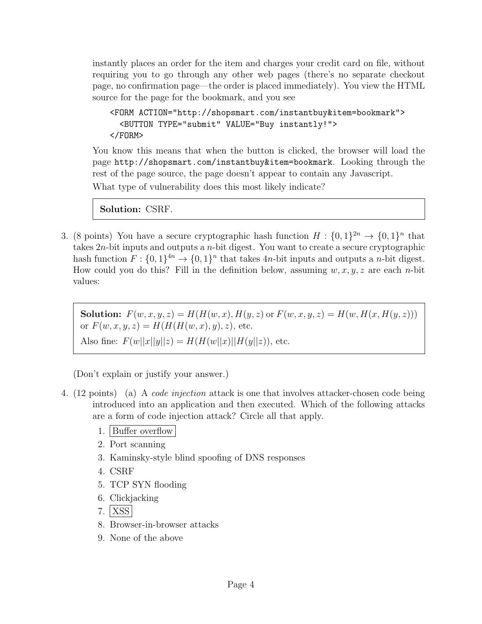instantly places an order for the item and charges your credit card on file, without requiring you to go through any other web pages (there's no separate checkout page, no confirmation page—the order is placed immediately). You view the HTML source for the page for the bookmark, and you see

```
<FORM ACTION="http://shopsmart.com/instantbuy&item=bookmark">
  <BUTTON TYPE="submit" VALUE="Buy instantly!">
</FORM>
```
You know this means that when the button is clicked, the browser will load the page http://shopsmart.com/instantbuy&item=bookmark. Looking through the rest of the page source, the page doesn't appear to contain any Javascript. What type of vulnerability does this most likely indicate?

Solution: CSRF.

3. (8 points) You have a secure cryptographic hash function  $H: \{0,1\}^{2n} \to \{0,1\}^n$  that takes  $2n$ -bit inputs and outputs a *n*-bit digest. You want to create a secure cryptographic hash function  $F: \{0,1\}^{4n} \to \{0,1\}^n$  that takes  $4n$ -bit inputs and outputs a *n*-bit digest. How could you do this? Fill in the definition below, assuming  $w, x, y, z$  are each *n*-bit values:

**Solution:**  $F(w, x, y, z) = H(H(w, x), H(y, z))$  or  $F(w, x, y, z) = H(w, H(x, H(y, z)))$ or  $F(w, x, y, z) = H(H(H(w, x), y), z)$ , etc. Also fine:  $F(w||x||y||z) = H(H(w||x)||H(y||z))$ , etc.

(Don't explain or justify your answer.)

- 4. (12 points) (a) A code injection attack is one that involves attacker-chosen code being introduced into an application and then executed. Which of the following attacks are a form of code injection attack? Circle all that apply.
	- 1. Buffer overflow
	- 2. Port scanning
	- 3. Kaminsky-style blind spoofing of DNS responses
	- 4. CSRF
	- 5. TCP SYN flooding
	- 6. Clickjacking
	- 7. | XSS |
	- 8. Browser-in-browser attacks
	- 9. None of the above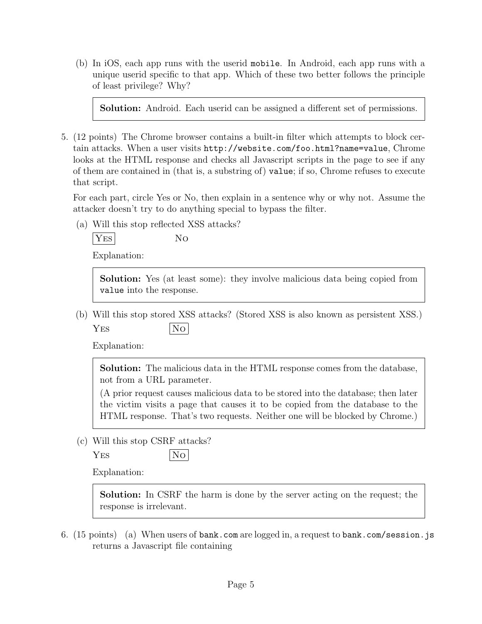(b) In iOS, each app runs with the userid mobile. In Android, each app runs with a unique userid specific to that app. Which of these two better follows the principle of least privilege? Why?

Solution: Android. Each userid can be assigned a different set of permissions.

5. (12 points) The Chrome browser contains a built-in filter which attempts to block certain attacks. When a user visits http://website.com/foo.html?name=value, Chrome looks at the HTML response and checks all Javascript scripts in the page to see if any of them are contained in (that is, a substring of) value; if so, Chrome refuses to execute that script.

For each part, circle Yes or No, then explain in a sentence why or why not. Assume the attacker doesn't try to do anything special to bypass the filter.

(a) Will this stop reflected XSS attacks?

$$
\boxed{\rm Yes}
$$
 No

Explanation:

Solution: Yes (at least some): they involve malicious data being copied from value into the response.

(b) Will this stop stored XSS attacks? (Stored XSS is also known as persistent XSS.)  $YES$   $|No|$ 

Explanation:

Solution: The malicious data in the HTML response comes from the database, not from a URL parameter.

(A prior request causes malicious data to be stored into the database; then later the victim visits a page that causes it to be copied from the database to the HTML response. That's two requests. Neither one will be blocked by Chrome.)

(c) Will this stop CSRF attacks?

YES  $|No|$ 

Explanation:

Solution: In CSRF the harm is done by the server acting on the request; the response is irrelevant.

6. (15 points) (a) When users of bank.com are logged in, a request to bank.com/session.js returns a Javascript file containing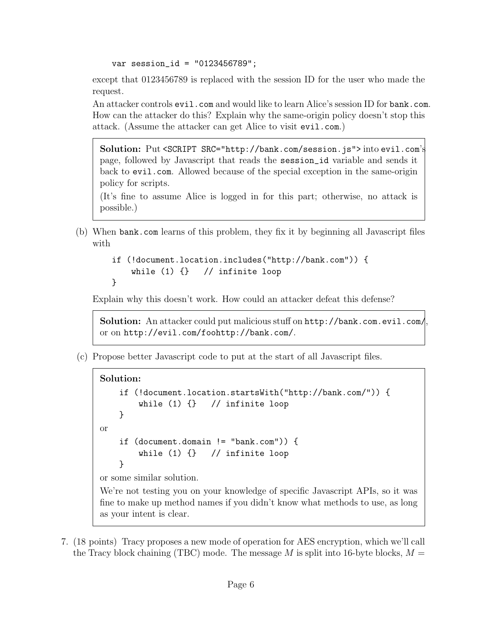var session\_id = "0123456789";

except that 0123456789 is replaced with the session ID for the user who made the request.

An attacker controls evil.com and would like to learn Alice's session ID for bank.com. How can the attacker do this? Explain why the same-origin policy doesn't stop this attack. (Assume the attacker can get Alice to visit evil.com.)

Solution: Put <SCRIPT SRC="http://bank.com/session.js"> into evil.com's page, followed by Javascript that reads the session\_id variable and sends it back to evil.com. Allowed because of the special exception in the same-origin policy for scripts.

(It's fine to assume Alice is logged in for this part; otherwise, no attack is possible.)

(b) When bank.com learns of this problem, they fix it by beginning all Javascript files with

```
if (!document.location.includes("http://bank.com")) {
    while (1) \{\} // infinite loop
}
```
Explain why this doesn't work. How could an attacker defeat this defense?

Solution: An attacker could put malicious stuff on http://bank.com.evil.com/, or on http://evil.com/foohttp://bank.com/.

(c) Propose better Javascript code to put at the start of all Javascript files.

```
Solution:
    if (!document.location.startsWith("http://bank.com/")) {
        while (1) {} // infinite loop
    }
or
    if (document.domain != "bank.com")) {
        while (1) \{\} // infinite loop
    }
or some similar solution.
We're not testing you on your knowledge of specific Javascript APIs, so it was
fine to make up method names if you didn't know what methods to use, as long
as your intent is clear.
```
7. (18 points) Tracy proposes a new mode of operation for AES encryption, which we'll call the Tracy block chaining (TBC) mode. The message  $M$  is split into 16-byte blocks,  $M =$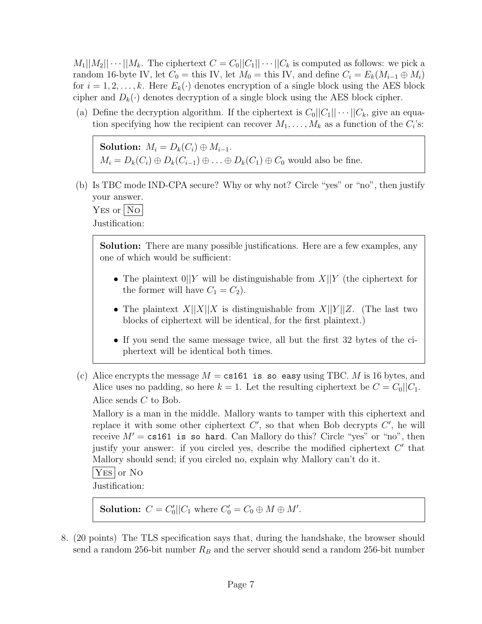$M_1||M_2|| \cdots ||M_k$ . The ciphertext  $C = C_0||C_1|| \cdots ||C_k$  is computed as follows: we pick a random 16-byte IV, let  $C_0 =$  this IV, let  $M_0 =$  this IV, and define  $C_i = E_k(M_{i-1} \oplus M_i)$ for  $i = 1, 2, \ldots, k$ . Here  $E_k(\cdot)$  denotes encryption of a single block using the AES block cipher and  $D_k(\cdot)$  denotes decryption of a single block using the AES block cipher.

(a) Define the decryption algorithm. If the ciphertext is  $C_0||C_1|| \cdots ||C_k$ , give an equation specifying how the recipient can recover  $M_1, \ldots, M_k$  as a function of the  $C_i$ 's:

Solution:  $M_i = D_k(C_i) \oplus M_{i-1}$ .  $M_i = D_k(C_i) \oplus D_k(C_{i-1}) \oplus \ldots \oplus D_k(C_1) \oplus C_0$  would also be fine.

(b) Is TBC mode IND-CPA secure? Why or why not? Circle "yes" or "no", then justify your answer.

 $YES$  or  $|No|$ Justification:

> Solution: There are many possible justifications. Here are a few examples, any one of which would be sufficient:

- The plaintext  $0||Y$  will be distinguishable from  $X||Y$  (the ciphertext for the former will have  $C_1 = C_2$ .
- The plaintext  $X||X||X$  is distinguishable from  $X||Y||Z$ . (The last two blocks of ciphertext will be identical, for the first plaintext.)
- If you send the same message twice, all but the first 32 bytes of the ciphertext will be identical both times.
- (c) Alice encrypts the message  $M = \text{cs161}$  is so easy using TBC. M is 16 bytes, and Alice uses no padding, so here  $k = 1$ . Let the resulting ciphertext be  $C = C_0||C_1$ . Alice sends C to Bob.

Mallory is a man in the middle. Mallory wants to tamper with this ciphertext and replace it with some other ciphertext  $C'$ , so that when Bob decrypts  $C'$ , he will receive  $M' = \text{cs161}$  is so hard. Can Mallory do this? Circle "yes" or "no", then justify your answer: if you circled yes, describe the modified ciphertext  $C'$  that Mallory should send; if you circled no, explain why Mallory can't do it.

 $|YES|$  or No

Justification:

**Solution:**  $C = C'_0 || C_1$  where  $C'_0 = C_0 \oplus M \oplus M'$ .

8. (20 points) The TLS specification says that, during the handshake, the browser should send a random 256-bit number  $R_B$  and the server should send a random 256-bit number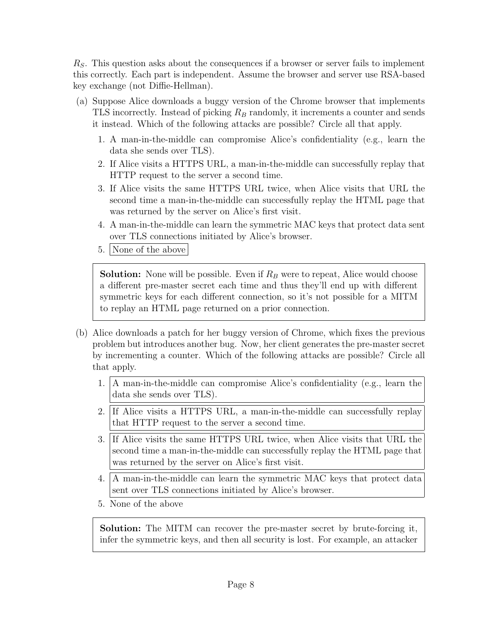$R<sub>S</sub>$ . This question asks about the consequences if a browser or server fails to implement this correctly. Each part is independent. Assume the browser and server use RSA-based key exchange (not Diffie-Hellman).

- (a) Suppose Alice downloads a buggy version of the Chrome browser that implements TLS incorrectly. Instead of picking  $R_B$  randomly, it increments a counter and sends it instead. Which of the following attacks are possible? Circle all that apply.
	- 1. A man-in-the-middle can compromise Alice's confidentiality (e.g., learn the data she sends over TLS).
	- 2. If Alice visits a HTTPS URL, a man-in-the-middle can successfully replay that HTTP request to the server a second time.
	- 3. If Alice visits the same HTTPS URL twice, when Alice visits that URL the second time a man-in-the-middle can successfully replay the HTML page that was returned by the server on Alice's first visit.
	- 4. A man-in-the-middle can learn the symmetric MAC keys that protect data sent over TLS connections initiated by Alice's browser.
	- 5. None of the above

**Solution:** None will be possible. Even if  $R_B$  were to repeat, Alice would choose a different pre-master secret each time and thus they'll end up with different symmetric keys for each different connection, so it's not possible for a MITM to replay an HTML page returned on a prior connection.

- (b) Alice downloads a patch for her buggy version of Chrome, which fixes the previous problem but introduces another bug. Now, her client generates the pre-master secret by incrementing a counter. Which of the following attacks are possible? Circle all that apply.
	- 1. A man-in-the-middle can compromise Alice's confidentiality (e.g., learn the data she sends over TLS).
	- 2. If Alice visits a HTTPS URL, a man-in-the-middle can successfully replay that HTTP request to the server a second time.
	- 3. If Alice visits the same HTTPS URL twice, when Alice visits that URL the second time a man-in-the-middle can successfully replay the HTML page that was returned by the server on Alice's first visit.
	- 4. A man-in-the-middle can learn the symmetric MAC keys that protect data sent over TLS connections initiated by Alice's browser.
	- 5. None of the above

Solution: The MITM can recover the pre-master secret by brute-forcing it, infer the symmetric keys, and then all security is lost. For example, an attacker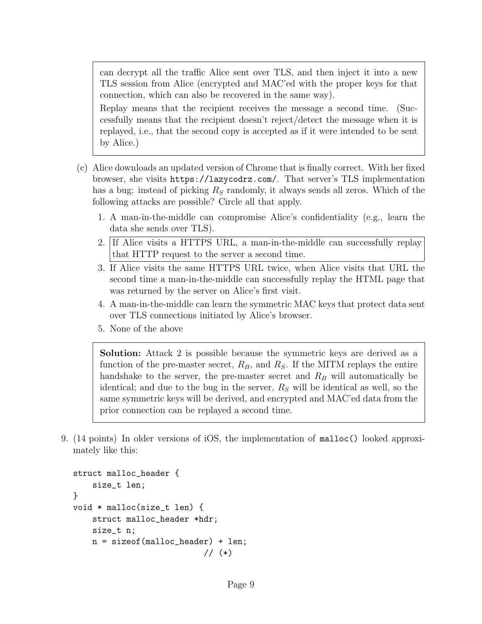can decrypt all the traffic Alice sent over TLS, and then inject it into a new TLS session from Alice (encrypted and MAC'ed with the proper keys for that connection, which can also be recovered in the same way).

Replay means that the recipient receives the message a second time. (Successfully means that the recipient doesn't reject/detect the message when it is replayed, i.e., that the second copy is accepted as if it were intended to be sent by Alice.)

- (c) Alice downloads an updated version of Chrome that is finally correct. With her fixed browser, she visits https://lazycodrz.com/. That server's TLS implementation has a bug: instead of picking  $R<sub>S</sub>$  randomly, it always sends all zeros. Which of the following attacks are possible? Circle all that apply.
	- 1. A man-in-the-middle can compromise Alice's confidentiality (e.g., learn the data she sends over TLS).
	- 2. If Alice visits a HTTPS URL, a man-in-the-middle can successfully replay that HTTP request to the server a second time.
	- 3. If Alice visits the same HTTPS URL twice, when Alice visits that URL the second time a man-in-the-middle can successfully replay the HTML page that was returned by the server on Alice's first visit.
	- 4. A man-in-the-middle can learn the symmetric MAC keys that protect data sent over TLS connections initiated by Alice's browser.
	- 5. None of the above

Solution: Attack 2 is possible because the symmetric keys are derived as a function of the pre-master secret,  $R_B$ , and  $R_S$ . If the MITM replays the entire handshake to the server, the pre-master secret and  $R_B$  will automatically be identical; and due to the bug in the server,  $R<sub>S</sub>$  will be identical as well, so the same symmetric keys will be derived, and encrypted and MAC'ed data from the prior connection can be replayed a second time.

9. (14 points) In older versions of iOS, the implementation of malloc() looked approximately like this:

```
struct malloc_header {
    size_t len;
}
void * malloc(size_t len) {
    struct malloc_header *hdr;
    size_t n;
    n = sizeof(malloc_header) + len;
                            // (*)
```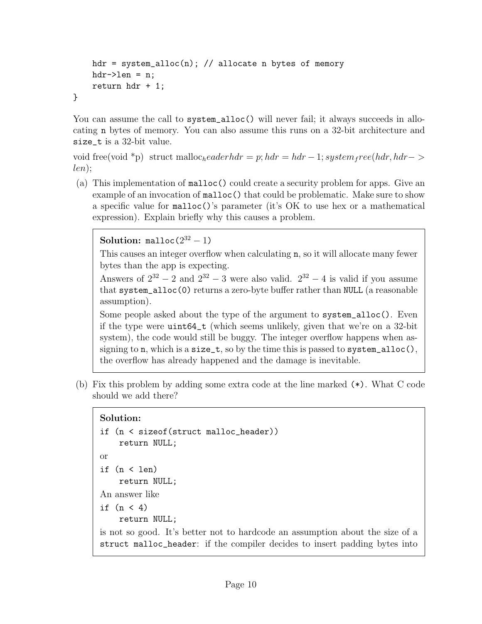```
hdr = system_alloc(n); // allocate n bytes of memory
    hdr->len = n;
    return hdr + 1;
}
```
You can assume the call to system\_alloc() will never fail; it always succeeds in allocating n bytes of memory. You can also assume this runs on a 32-bit architecture and size\_t is a 32-bit value.

void free(void \*p) struct malloc<sub>headerhdr</sub> = p; hdr = hdr - 1; system<sub>f</sub> ree(hdr, hdr-> len);

(a) This implementation of malloc() could create a security problem for apps. Give an example of an invocation of malloc() that could be problematic. Make sure to show a specific value for malloc()'s parameter (it's OK to use hex or a mathematical expression). Explain briefly why this causes a problem.

**Solution:** malloc $(2^{32} - 1)$ 

This causes an integer overflow when calculating n, so it will allocate many fewer bytes than the app is expecting.

Answers of  $2^{32} - 2$  and  $2^{32} - 3$  were also valid.  $2^{32} - 4$  is valid if you assume that system\_alloc(0) returns a zero-byte buffer rather than NULL (a reasonable assumption).

Some people asked about the type of the argument to system\_alloc(). Even if the type were uint64\_t (which seems unlikely, given that we're on a 32-bit system), the code would still be buggy. The integer overflow happens when assigning to n, which is a size\_t, so by the time this is passed to system\_alloc(), the overflow has already happened and the damage is inevitable.

(b) Fix this problem by adding some extra code at the line marked (\*). What C code should we add there?

## Solution:

```
if (n < sizeof(struct malloc_header))
    return NULL;
or
if (n < len)
    return NULL;
An answer like
if (n < 4)return NULL;
```
is not so good. It's better not to hardcode an assumption about the size of a struct malloc\_header: if the compiler decides to insert padding bytes into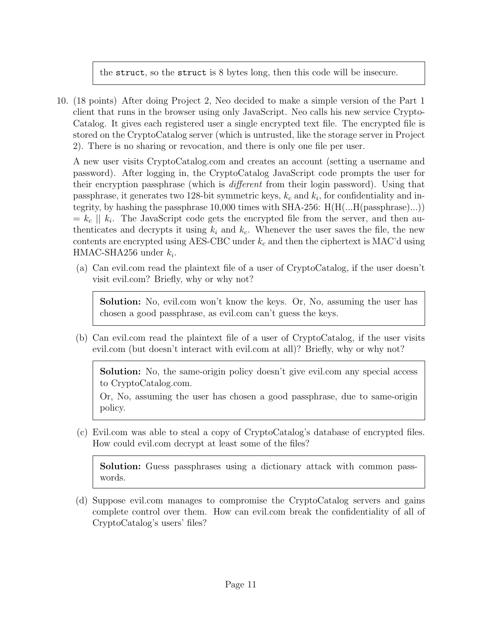the struct, so the struct is 8 bytes long, then this code will be insecure.

10. (18 points) After doing Project 2, Neo decided to make a simple version of the Part 1 client that runs in the browser using only JavaScript. Neo calls his new service Crypto-Catalog. It gives each registered user a single encrypted text file. The encrypted file is stored on the CryptoCatalog server (which is untrusted, like the storage server in Project 2). There is no sharing or revocation, and there is only one file per user.

A new user visits CryptoCatalog.com and creates an account (setting a username and password). After logging in, the CryptoCatalog JavaScript code prompts the user for their encryption passphrase (which is different from their login password). Using that passphrase, it generates two 128-bit symmetric keys,  $k_c$  and  $k_i$ , for confidentiality and integrity, by hashing the passphrase 10,000 times with SHA-256: H(H(...H(passphrase)...))  $= k_c || k_i$ . The JavaScript code gets the encrypted file from the server, and then authenticates and decrypts it using  $k_i$  and  $k_c$ . Whenever the user saves the file, the new contents are encrypted using AES-CBC under  $k_c$  and then the ciphertext is MAC'd using  $HMAC-SHA256$  under  $k_i$ .

(a) Can evil.com read the plaintext file of a user of CryptoCatalog, if the user doesn't visit evil.com? Briefly, why or why not?

Solution: No, evil.com won't know the keys. Or, No, assuming the user has chosen a good passphrase, as evil.com can't guess the keys.

(b) Can evil.com read the plaintext file of a user of CryptoCatalog, if the user visits evil.com (but doesn't interact with evil.com at all)? Briefly, why or why not?

Solution: No, the same-origin policy doesn't give evil.com any special access to CryptoCatalog.com.

Or, No, assuming the user has chosen a good passphrase, due to same-origin policy.

(c) Evil.com was able to steal a copy of CryptoCatalog's database of encrypted files. How could evil.com decrypt at least some of the files?

Solution: Guess passphrases using a dictionary attack with common passwords.

(d) Suppose evil.com manages to compromise the CryptoCatalog servers and gains complete control over them. How can evil.com break the confidentiality of all of CryptoCatalog's users' files?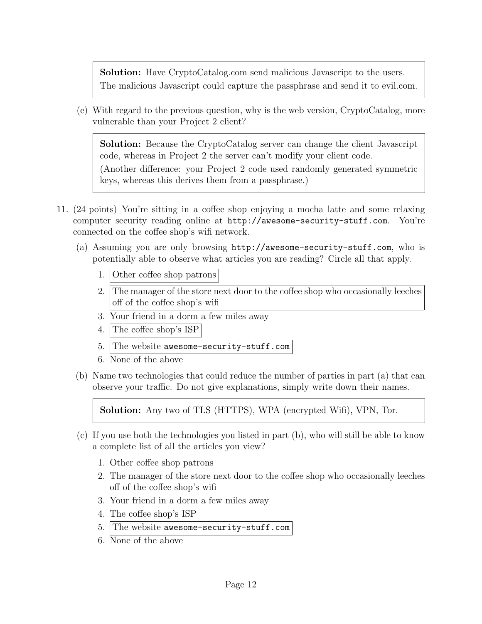Solution: Have CryptoCatalog.com send malicious Javascript to the users. The malicious Javascript could capture the passphrase and send it to evil.com.

(e) With regard to the previous question, why is the web version, CryptoCatalog, more vulnerable than your Project 2 client?

Solution: Because the CryptoCatalog server can change the client Javascript code, whereas in Project 2 the server can't modify your client code.

(Another difference: your Project 2 code used randomly generated symmetric keys, whereas this derives them from a passphrase.)

- 11. (24 points) You're sitting in a coffee shop enjoying a mocha latte and some relaxing computer security reading online at http://awesome-security-stuff.com. You're connected on the coffee shop's wifi network.
	- (a) Assuming you are only browsing http://awesome-security-stuff.com, who is potentially able to observe what articles you are reading? Circle all that apply.
		- 1. Other coffee shop patrons
		- 2. The manager of the store next door to the coffee shop who occasionally leeches off of the coffee shop's wifi
		- 3. Your friend in a dorm a few miles away
		- 4. The coffee shop's ISP
		- 5. The website awesome-security-stuff.com
		- 6. None of the above
	- (b) Name two technologies that could reduce the number of parties in part (a) that can observe your traffic. Do not give explanations, simply write down their names.

Solution: Any two of TLS (HTTPS), WPA (encrypted Wifi), VPN, Tor.

- (c) If you use both the technologies you listed in part (b), who will still be able to know a complete list of all the articles you view?
	- 1. Other coffee shop patrons
	- 2. The manager of the store next door to the coffee shop who occasionally leeches off of the coffee shop's wifi
	- 3. Your friend in a dorm a few miles away
	- 4. The coffee shop's ISP
	- 5. The website awesome-security-stuff.com
	- 6. None of the above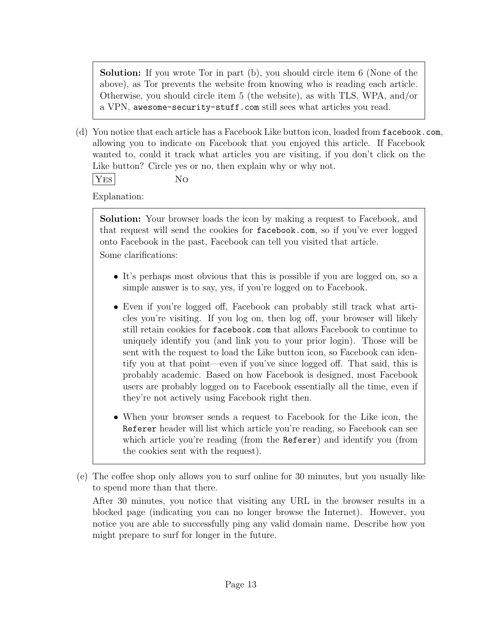Solution: If you wrote Tor in part (b), you should circle item 6 (None of the above), as Tor prevents the website from knowing who is reading each article. Otherwise, you should circle item 5 (the website), as with TLS, WPA, and/or a VPN, awesome-security-stuff.com still sees what articles you read.

(d) You notice that each article has a Facebook Like button icon, loaded from facebook.com, allowing you to indicate on Facebook that you enjoyed this article. If Facebook wanted to, could it track what articles you are visiting, if you don't click on the Like button? Circle yes or no, then explain why or why not.

YES NO

Explanation:

Solution: Your browser loads the icon by making a request to Facebook, and that request will send the cookies for facebook.com, so if you've ever logged onto Facebook in the past, Facebook can tell you visited that article. Some clarifications:

- It's perhaps most obvious that this is possible if you are logged on, so a simple answer is to say, yes, if you're logged on to Facebook.
- Even if you're logged off, Facebook can probably still track what articles you're visiting. If you log on, then log off, your browser will likely still retain cookies for facebook.com that allows Facebook to continue to uniquely identify you (and link you to your prior login). Those will be sent with the request to load the Like button icon, so Facebook can identify you at that point—even if you've since logged off. That said, this is probably academic. Based on how Facebook is designed, most Facebook users are probably logged on to Facebook essentially all the time, even if they're not actively using Facebook right then.
- When your browser sends a request to Facebook for the Like icon, the Referer header will list which article you're reading, so Facebook can see which article you're reading (from the Referer) and identify you (from the cookies sent with the request).
- (e) The coffee shop only allows you to surf online for 30 minutes, but you usually like to spend more than that there.

After 30 minutes, you notice that visiting any URL in the browser results in a blocked page (indicating you can no longer browse the Internet). However, you notice you are able to successfully ping any valid domain name. Describe how you might prepare to surf for longer in the future.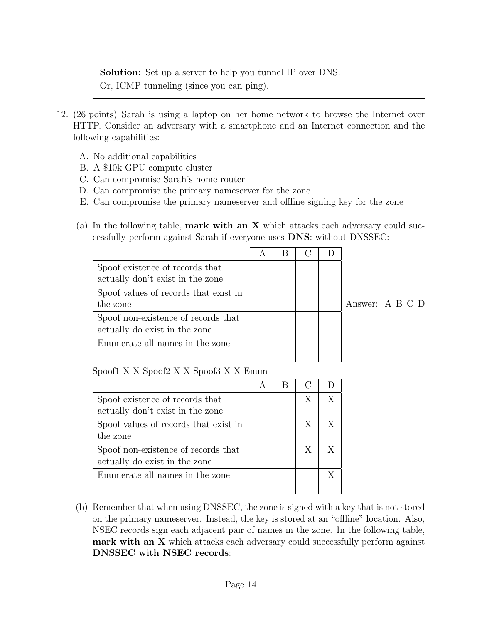Solution: Set up a server to help you tunnel IP over DNS. Or, ICMP tunneling (since you can ping).

- 12. (26 points) Sarah is using a laptop on her home network to browse the Internet over HTTP. Consider an adversary with a smartphone and an Internet connection and the following capabilities:
	- A. No additional capabilities
	- B. A \$10k GPU compute cluster
	- C. Can compromise Sarah's home router
	- D. Can compromise the primary nameserver for the zone
	- E. Can compromise the primary nameserver and offline signing key for the zone
	- (a) In the following table, **mark with an X** which attacks each adversary could successfully perform against Sarah if everyone uses DNS: without DNSSEC:

| Spoof existence of records that       |  |  |           |  |
|---------------------------------------|--|--|-----------|--|
| actually don't exist in the zone      |  |  |           |  |
| Spoof values of records that exist in |  |  |           |  |
| the zone                              |  |  | Answer: A |  |
| Spoof non-existence of records that   |  |  |           |  |
| actually do exist in the zone         |  |  |           |  |
| Enumerate all names in the zone       |  |  |           |  |
|                                       |  |  |           |  |

B C D

Spoof1 X X Spoof2 X X Spoof3 X X Enum

| Spoof existence of records that       |  | X |  |
|---------------------------------------|--|---|--|
| actually don't exist in the zone      |  |   |  |
| Spoof values of records that exist in |  | X |  |
| the zone                              |  |   |  |
| Spoof non-existence of records that   |  | X |  |
| actually do exist in the zone         |  |   |  |
| Enumerate all names in the zone       |  |   |  |
|                                       |  |   |  |

(b) Remember that when using DNSSEC, the zone is signed with a key that is not stored on the primary nameserver. Instead, the key is stored at an "offline" location. Also, NSEC records sign each adjacent pair of names in the zone. In the following table, mark with an X which attacks each adversary could successfully perform against DNSSEC with NSEC records: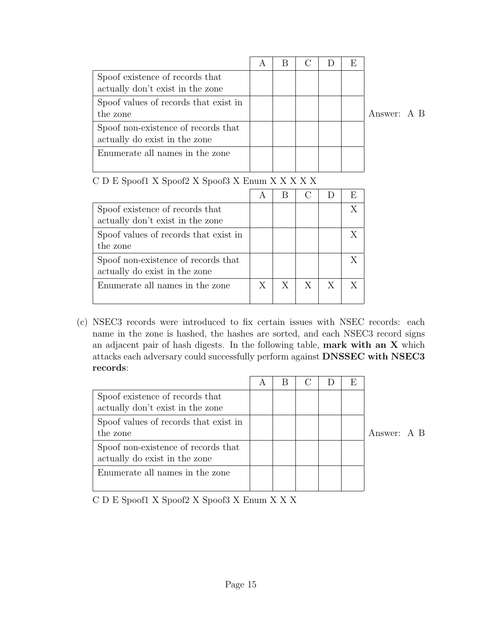|                                                                      | $\overline{A}$ |  | F, |             |  |
|----------------------------------------------------------------------|----------------|--|----|-------------|--|
| Spoof existence of records that<br>actually don't exist in the zone  |                |  |    |             |  |
| Spoof values of records that exist in<br>the zone                    |                |  |    | Answer: A B |  |
| Spoof non-existence of records that<br>actually do exist in the zone |                |  |    |             |  |
| Enumerate all names in the zone                                      |                |  |    |             |  |

| Spoof existence of records that       |   |   |   |   |  |
|---------------------------------------|---|---|---|---|--|
| actually don't exist in the zone      |   |   |   |   |  |
| Spoof values of records that exist in |   |   |   |   |  |
| the zone                              |   |   |   |   |  |
| Spoof non-existence of records that   |   |   |   |   |  |
| actually do exist in the zone         |   |   |   |   |  |
| Enumerate all names in the zone       | X | X | X | X |  |
|                                       |   |   |   |   |  |

C D E Spoof1 X Spoof2 X Spoof3 X Enum X X X X X

(c) NSEC3 records were introduced to fix certain issues with NSEC records: each name in the zone is hashed, the hashes are sorted, and each NSEC3 record signs an adjacent pair of hash digests. In the following table, mark with an X which attacks each adversary could successfully perform against DNSSEC with NSEC3 records:

|                                       |  | $\mathcal{C}$ | E |             |  |
|---------------------------------------|--|---------------|---|-------------|--|
| Spoof existence of records that       |  |               |   |             |  |
| actually don't exist in the zone      |  |               |   |             |  |
| Spoof values of records that exist in |  |               |   |             |  |
| the zone                              |  |               |   | Answer: A B |  |
| Spoof non-existence of records that   |  |               |   |             |  |
|                                       |  |               |   |             |  |
| Enumerate all names in the zone       |  |               |   |             |  |
| actually do exist in the zone         |  |               |   |             |  |

C D E Spoof1 X Spoof2 X Spoof3 X Enum X X X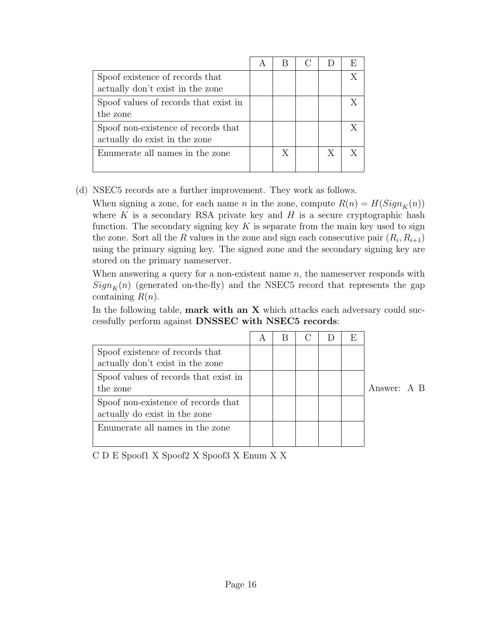| Spoof existence of records that<br>actually don't exist in the zone  |   |   | X |
|----------------------------------------------------------------------|---|---|---|
| Spoof values of records that exist in<br>the zone                    |   |   |   |
| Spoof non-existence of records that<br>actually do exist in the zone |   |   |   |
| Enumerate all names in the zone                                      | X | X | Y |

(d) NSEC5 records are a further improvement. They work as follows.

When signing a zone, for each name *n* in the zone, compute  $R(n) = H(Sign<sub>K</sub>(n))$ where K is a secondary RSA private key and H is a secure cryptographic hash function. The secondary signing key  $K$  is separate from the main key used to sign the zone. Sort all the R values in the zone and sign each consecutive pair  $(R_i, R_{i+1})$ using the primary signing key. The signed zone and the secondary signing key are stored on the primary nameserver.

When answering a query for a non-existent name  $n$ , the nameserver responds with  $Sign_K(n)$  (generated on-the-fly) and the NSEC5 record that represents the gap containing  $R(n)$ .

In the following table, **mark with an X** which attacks each adversary could successfully perform against DNSSEC with NSEC5 records:

|                                                                      | $\overline{\mathsf{A}}$ |  | E |             |  |
|----------------------------------------------------------------------|-------------------------|--|---|-------------|--|
| Spoof existence of records that<br>actually don't exist in the zone  |                         |  |   |             |  |
| Spoof values of records that exist in<br>the zone                    |                         |  |   | Answer: A B |  |
| Spoof non-existence of records that<br>actually do exist in the zone |                         |  |   |             |  |
| Enumerate all names in the zone                                      |                         |  |   |             |  |

C D E Spoof1 X Spoof2 X Spoof3 X Enum X X